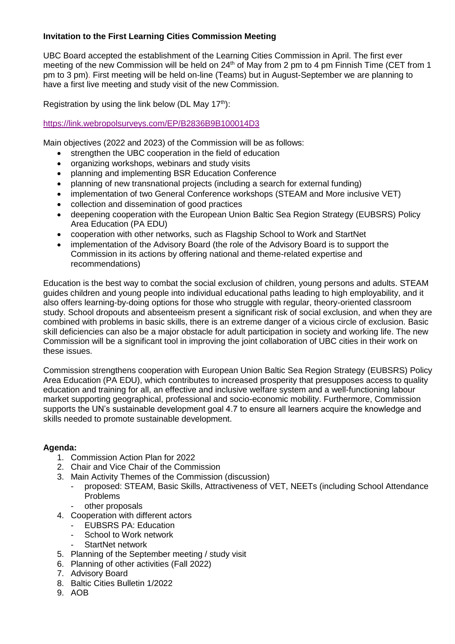## **Invitation to the First Learning Cities Commission Meeting**

UBC Board accepted the establishment of the Learning Cities Commission in April. The first ever meeting of the new Commission will be held on  $24<sup>th</sup>$  of May from 2 pm to 4 pm Finnish Time (CET from 1 pm to 3 pm). First meeting will be held on-line (Teams) but in August-September we are planning to have a first live meeting and study visit of the new Commission.

Registration by using the link below (DL May  $17<sup>th</sup>$ ):

## <https://link.webropolsurveys.com/EP/B2836B9B100014D3>

Main objectives (2022 and 2023) of the Commission will be as follows:

- strengthen the UBC cooperation in the field of education
- organizing workshops, webinars and study visits
- planning and implementing BSR Education Conference
- planning of new transnational projects (including a search for external funding)
- implementation of two General Conference workshops (STEAM and More inclusive VET)
- collection and dissemination of good practices
- deepening cooperation with the European Union Baltic Sea Region Strategy (EUBSRS) Policy Area Education (PA EDU)
- cooperation with other networks, such as Flagship School to Work and StartNet
- implementation of the Advisory Board (the role of the Advisory Board is to support the Commission in its actions by offering national and theme-related expertise and recommendations)

Education is the best way to combat the social exclusion of children, young persons and adults. STEAM guides children and young people into individual educational paths leading to high employability, and it also offers learning-by-doing options for those who struggle with regular, theory-oriented classroom study. School dropouts and absenteeism present a significant risk of social exclusion, and when they are combined with problems in basic skills, there is an extreme danger of a vicious circle of exclusion. Basic skill deficiencies can also be a major obstacle for adult participation in society and working life. The new Commission will be a significant tool in improving the joint collaboration of UBC cities in their work on these issues.

Commission strengthens cooperation with European Union Baltic Sea Region Strategy (EUBSRS) Policy Area Education (PA EDU), which contributes to increased prosperity that presupposes access to quality education and training for all, an effective and inclusive welfare system and a well-functioning labour market supporting geographical, professional and socio-economic mobility. Furthermore, Commission supports the UN's sustainable development goal 4.7 to ensure all learners acquire the knowledge and skills needed to promote sustainable development.

## **Agenda:**

- 1. Commission Action Plan for 2022
- 2. Chair and Vice Chair of the Commission
- 3. Main Activity Themes of the Commission (discussion)
	- proposed: STEAM, Basic Skills, Attractiveness of VET, NEETs (including School Attendance Problems
	- other proposals
- 4. Cooperation with different actors
	- EUBSRS PA: Education
	- School to Work network
	- StartNet network
- 5. Planning of the September meeting / study visit
- 6. Planning of other activities (Fall 2022)
- 7. Advisory Board
- 8. Baltic Cities Bulletin 1/2022
- 9. AOB